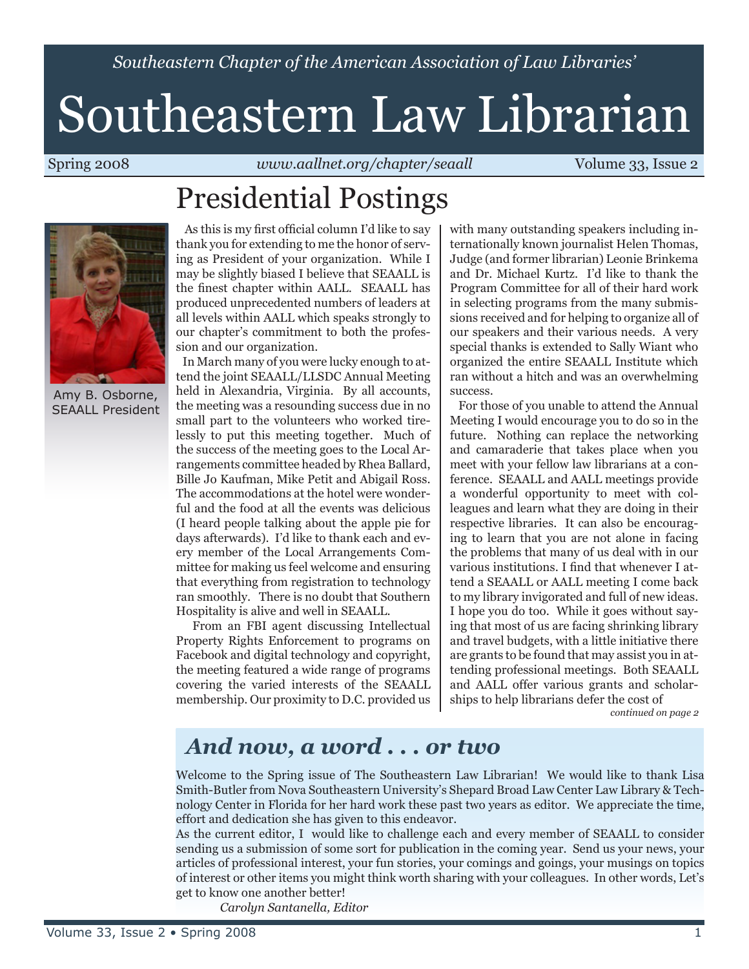*Southeastern Chapter of the American Association of Law Libraries'*

# Southeastern Law Librarian

Spring 2008 *www.aallnet.org/chapter/seaall* Volume 33, Issue 2

# Presidential Postings



Amy B. Osborne, SEAALL President

 As this is my first official column I'd like to say thank you for extending to me the honor of serving as President of your organization. While I may be slightly biased I believe that SEAALL is the finest chapter within AALL. SEAALL has produced unprecedented numbers of leaders at all levels within AALL which speaks strongly to our chapter's commitment to both the profession and our organization.

 In March many of you were lucky enough to attend the joint SEAALL/LLSDC Annual Meeting held in Alexandria, Virginia. By all accounts, the meeting was a resounding success due in no small part to the volunteers who worked tirelessly to put this meeting together. Much of the success of the meeting goes to the Local Arrangements committee headed by Rhea Ballard, Bille Jo Kaufman, Mike Petit and Abigail Ross. The accommodations at the hotel were wonderful and the food at all the events was delicious (I heard people talking about the apple pie for days afterwards). I'd like to thank each and every member of the Local Arrangements Committee for making us feel welcome and ensuring that everything from registration to technology ran smoothly. There is no doubt that Southern Hospitality is alive and well in SEAALL.

 From an FBI agent discussing Intellectual Property Rights Enforcement to programs on Facebook and digital technology and copyright, the meeting featured a wide range of programs covering the varied interests of the SEAALL membership. Our proximity to D.C. provided us with many outstanding speakers including internationally known journalist Helen Thomas, Judge (and former librarian) Leonie Brinkema and Dr. Michael Kurtz. I'd like to thank the Program Committee for all of their hard work in selecting programs from the many submissions received and for helping to organize all of our speakers and their various needs. A very special thanks is extended to Sally Wiant who organized the entire SEAALL Institute which ran without a hitch and was an overwhelming success.

 For those of you unable to attend the Annual Meeting I would encourage you to do so in the future. Nothing can replace the networking and camaraderie that takes place when you meet with your fellow law librarians at a conference. SEAALL and AALL meetings provide a wonderful opportunity to meet with colleagues and learn what they are doing in their respective libraries. It can also be encouraging to learn that you are not alone in facing the problems that many of us deal with in our various institutions. I find that whenever I attend a SEAALL or AALL meeting I come back to my library invigorated and full of new ideas. I hope you do too. While it goes without saying that most of us are facing shrinking library and travel budgets, with a little initiative there are grants to be found that may assist you in attending professional meetings. Both SEAALL and AALL offer various grants and scholarships to help librarians defer the cost of

*continued on page 2*

### *And now, a word . . . or two*

Welcome to the Spring issue of The Southeastern Law Librarian! We would like to thank Lisa Smith-Butler from Nova Southeastern University's Shepard Broad Law Center Law Library & Technology Center in Florida for her hard work these past two years as editor. We appreciate the time, effort and dedication she has given to this endeavor.

As the current editor, I would like to challenge each and every member of SEAALL to consider sending us a submission of some sort for publication in the coming year. Send us your news, your articles of professional interest, your fun stories, your comings and goings, your musings on topics of interest or other items you might think worth sharing with your colleagues. In other words, Let's get to know one another better!

*Carolyn Santanella, Editor*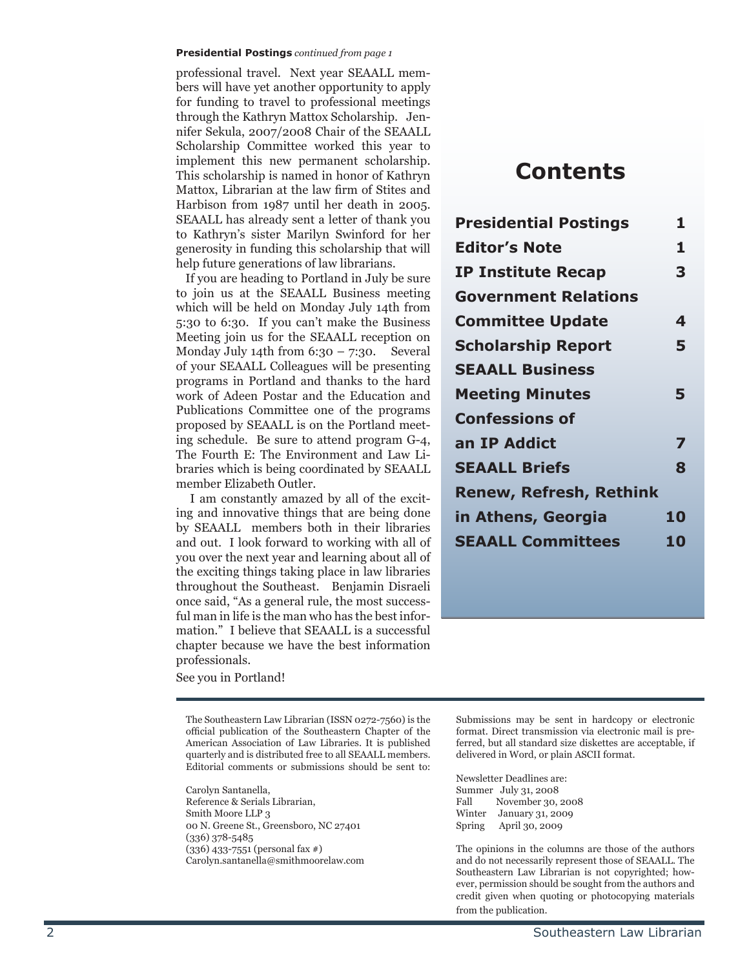#### **Presidential Postings** *continued from page 1*

professional travel. Next year SEAALL mem bers will have yet another opportunity to apply for funding to travel to professional meetings through the Kathryn Mattox Scholarship. Jen nifer Sekula, 2007/2008 Chair of the SEAALL Scholarship Committee worked this year to implement this new permanent scholarship. This scholarship is named in honor of Kathryn Mattox, Librarian at the law firm of Stites and Harbison from 1987 until her death in 2005. SEAALL has already sent a letter of thank you to Kathryn's sister Marilyn Swinford for her generosity in funding this scholarship that will help future generations of law librarians.

 If you are heading to Portland in July be sure to join us at the SEAALL Business meeting which will be held on Monday July 14th from 5:30 to 6:30. If you can't make the Business Meeting join us for the SEAALL reception on Monday July 14th from  $6:30 - 7:30$ . Several of your SEAALL Colleagues will be presenting programs in Portland and thanks to the hard work of Adeen Postar and the Education and Publications Committee one of the programs proposed by SEAALL is on the Portland meet ing schedule. Be sure to attend program G-4, The Fourth E: The Environment and Law Li braries which is being coordinated by SEAALL member Elizabeth Outler.

 I am constantly amazed by all of the excit ing and innovative things that are being done by SEAALL members both in their libraries and out. I look forward to working with all of you over the next year and learning about all of the exciting things taking place in law libraries throughout the Southeast. Benjamin Disraeli once said, "As a general rule, the most success ful man in life is the man who has the best infor mation." I believe that SEAALL is a successful chapter because we have the best information professionals.

See you in Portland!

The Southeastern Law Librarian (ISSN 0272-7560) is the official publication of the Southeastern Chapter of the American Association of Law Libraries. It is published quarterly and is distributed free to all SEAALL members. Editorial comments or submissions should be sent to:

Carolyn Santanella, Reference & Serials Librarian, Smith Moore LLP 3 00 N. Greene St., Greensboro, NC 27401 (336) 378-5485 (336) 433-7551 (personal fax #) Carolyn.santanella@smithmoorelaw.com

### **Contents**

| <b>Presidential Postings</b>   | 1. |
|--------------------------------|----|
| <b>Editor's Note</b>           | 1  |
| <b>IP Institute Recap</b>      | 3  |
| <b>Government Relations</b>    |    |
| <b>Committee Update</b>        | 4  |
| <b>Scholarship Report</b>      | 5  |
| <b>SEAALL Business</b>         |    |
| <b>Meeting Minutes</b>         | 5  |
| <b>Confessions of</b>          |    |
| an IP Addict                   | 7  |
| <b>SEAALL Briefs</b>           | 8  |
| <b>Renew, Refresh, Rethink</b> |    |
| in Athens, Georgia             | 10 |
| <b>SEAALL Committees</b>       | 10 |
|                                |    |

Submissions may be sent in hardcopy or electronic format. Direct transmission via electronic mail is pre ferred, but all standard size diskettes are acceptable, if delivered in Word, or plain ASCII format.

Newsletter Deadlines are: Summer July 31, 2008<br>Fall November 30, Fall November 30, 2008<br>Winter January 31, 2009 January 31, 2009 Spring April 30, 2009

The opinions in the columns are those of the authors and do not necessarily represent those of SEAALL. The Southeastern Law Librarian is not copyrighted; how ever, permission should be sought from the authors and credit given when quoting or photocopying materials from the publication.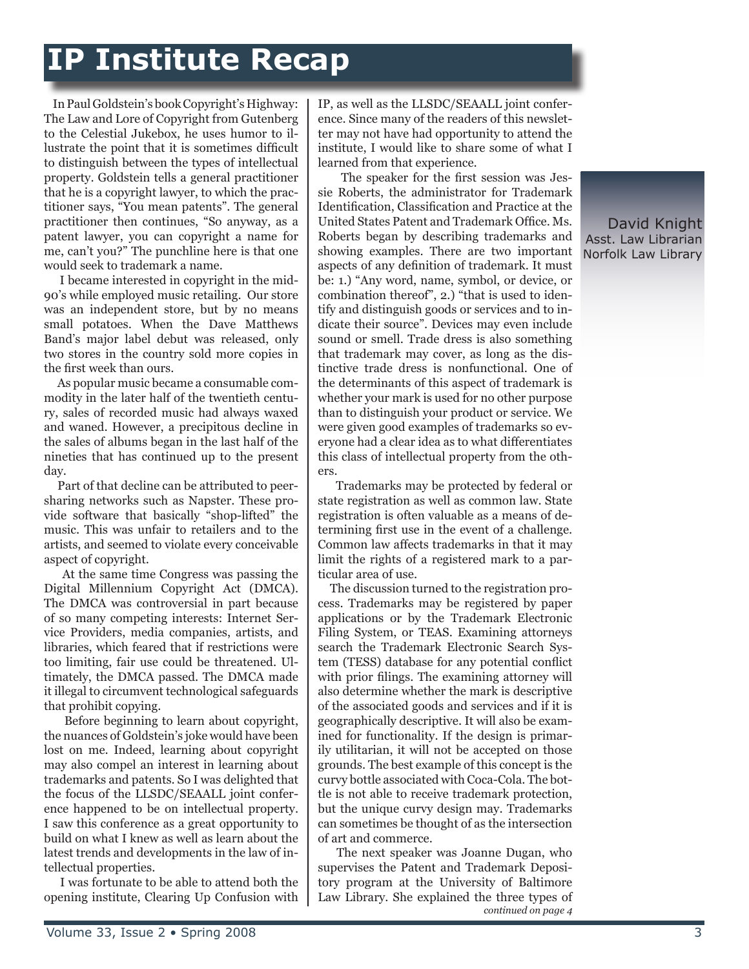## **IP Institute Recap**

 In Paul Goldstein's book Copyright's Highway: The Law and Lore of Copyright from Gutenberg to the Celestial Jukebox, he uses humor to illustrate the point that it is sometimes difficult to distinguish between the types of intellectual property. Goldstein tells a general practitioner that he is a copyright lawyer, to which the practitioner says, "You mean patents". The general practitioner then continues, "So anyway, as a patent lawyer, you can copyright a name for me, can't you?" The punchline here is that one would seek to trademark a name.

 I became interested in copyright in the mid-90's while employed music retailing. Our store was an independent store, but by no means small potatoes. When the Dave Matthews Band's major label debut was released, only two stores in the country sold more copies in the first week than ours.

 As popular music became a consumable commodity in the later half of the twentieth century, sales of recorded music had always waxed and waned. However, a precipitous decline in the sales of albums began in the last half of the nineties that has continued up to the present day.

 Part of that decline can be attributed to peersharing networks such as Napster. These provide software that basically "shop-lifted" the music. This was unfair to retailers and to the artists, and seemed to violate every conceivable aspect of copyright.

 At the same time Congress was passing the Digital Millennium Copyright Act (DMCA). The DMCA was controversial in part because of so many competing interests: Internet Service Providers, media companies, artists, and libraries, which feared that if restrictions were too limiting, fair use could be threatened. Ultimately, the DMCA passed. The DMCA made it illegal to circumvent technological safeguards that prohibit copying.

 Before beginning to learn about copyright, the nuances of Goldstein's joke would have been lost on me. Indeed, learning about copyright may also compel an interest in learning about trademarks and patents. So I was delighted that the focus of the LLSDC/SEAALL joint conference happened to be on intellectual property. I saw this conference as a great opportunity to build on what I knew as well as learn about the latest trends and developments in the law of intellectual properties.

 I was fortunate to be able to attend both the opening institute, Clearing Up Confusion with

IP, as well as the LLSDC/SEAALL joint conference. Since many of the readers of this newsletter may not have had opportunity to attend the institute, I would like to share some of what I learned from that experience.

 The speaker for the first session was Jessie Roberts, the administrator for Trademark Identification, Classification and Practice at the United States Patent and Trademark Office. Ms. Roberts began by describing trademarks and showing examples. There are two important aspects of any definition of trademark. It must be: 1.) "Any word, name, symbol, or device, or combination thereof", 2.) "that is used to identify and distinguish goods or services and to indicate their source". Devices may even include sound or smell. Trade dress is also something that trademark may cover, as long as the distinctive trade dress is nonfunctional. One of the determinants of this aspect of trademark is whether your mark is used for no other purpose than to distinguish your product or service. We were given good examples of trademarks so everyone had a clear idea as to what differentiates this class of intellectual property from the others.

 Trademarks may be protected by federal or state registration as well as common law. State registration is often valuable as a means of determining first use in the event of a challenge. Common law affects trademarks in that it may limit the rights of a registered mark to a particular area of use.

 The discussion turned to the registration process. Trademarks may be registered by paper applications or by the Trademark Electronic Filing System, or TEAS. Examining attorneys search the Trademark Electronic Search System (TESS) database for any potential conflict with prior filings. The examining attorney will also determine whether the mark is descriptive of the associated goods and services and if it is geographically descriptive. It will also be examined for functionality. If the design is primarily utilitarian, it will not be accepted on those grounds. The best example of this concept is the curvy bottle associated with Coca-Cola. The bottle is not able to receive trademark protection, but the unique curvy design may. Trademarks can sometimes be thought of as the intersection of art and commerce.

 The next speaker was Joanne Dugan, who supervises the Patent and Trademark Depository program at the University of Baltimore Law Library. She explained the three types of *continued on page 4*

David Knight Asst. Law Librarian Norfolk Law Library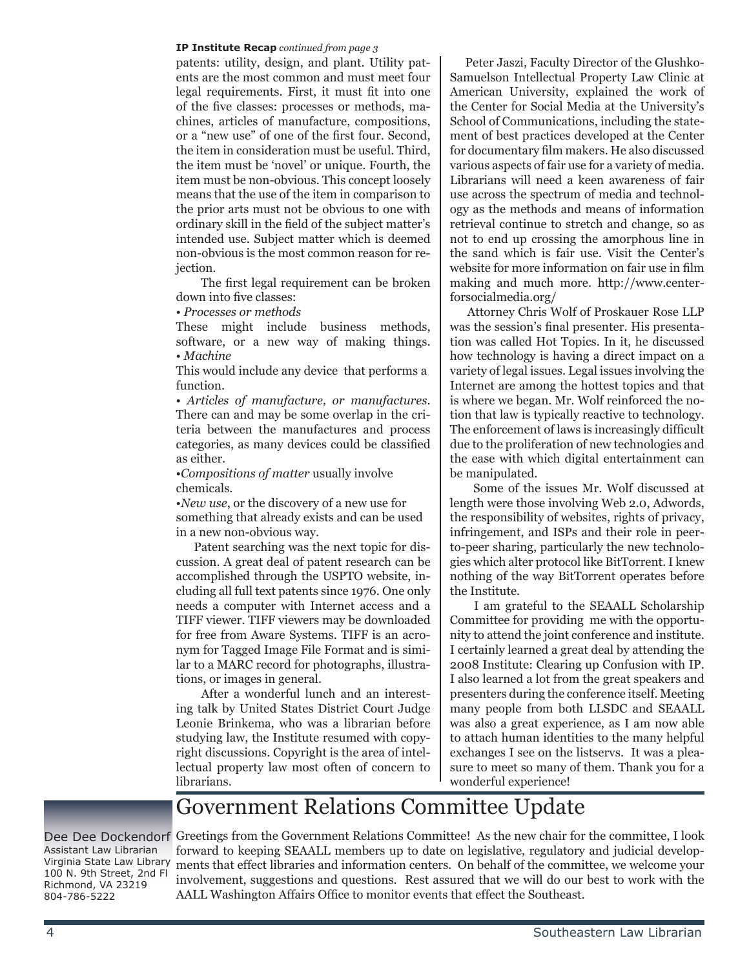#### **IP Institute Recap** *continued from page 3*

patents: utility, design, and plant. Utility patents are the most common and must meet four legal requirements. First, it must fit into one of the five classes: processes or methods, machines, articles of manufacture, compositions, or a "new use" of one of the first four. Second, the item in consideration must be useful. Third, the item must be 'novel' or unique. Fourth, the item must be non-obvious. This concept loosely means that the use of the item in comparison to the prior arts must not be obvious to one with ordinary skill in the field of the subject matter's intended use. Subject matter which is deemed non-obvious is the most common reason for rejection.

 The first legal requirement can be broken down into five classes:

• *Processes or methods*

These might include business methods, software, or a new way of making things. • *Machine*

This would include any device that performs a function.

• *Articles of manufacture, or manufactures.*  There can and may be some overlap in the criteria between the manufactures and process categories, as many devices could be classified as either.

•*Compositions of matter* usually involve chemicals.

•*New use*, or the discovery of a new use for something that already exists and can be used in a new non-obvious way.

 Patent searching was the next topic for discussion. A great deal of patent research can be accomplished through the USPTO website, including all full text patents since 1976. One only needs a computer with Internet access and a TIFF viewer. TIFF viewers may be downloaded for free from Aware Systems. TIFF is an acronym for Tagged Image File Format and is similar to a MARC record for photographs, illustrations, or images in general.

 After a wonderful lunch and an interesting talk by United States District Court Judge Leonie Brinkema, who was a librarian before studying law, the Institute resumed with copyright discussions. Copyright is the area of intellectual property law most often of concern to librarians.

 Peter Jaszi, Faculty Director of the Glushko-Samuelson Intellectual Property Law Clinic at American University, explained the work of the Center for Social Media at the University's School of Communications, including the statement of best practices developed at the Center for documentary film makers. He also discussed various aspects of fair use for a variety of media. Librarians will need a keen awareness of fair use across the spectrum of media and technology as the methods and means of information retrieval continue to stretch and change, so as not to end up crossing the amorphous line in the sand which is fair use. Visit the Center's website for more information on fair use in film making and much more. http://www.centerforsocialmedia.org/

 Attorney Chris Wolf of Proskauer Rose LLP was the session's final presenter. His presentation was called Hot Topics. In it, he discussed how technology is having a direct impact on a variety of legal issues. Legal issues involving the Internet are among the hottest topics and that is where we began. Mr. Wolf reinforced the notion that law is typically reactive to technology. The enforcement of laws is increasingly difficult due to the proliferation of new technologies and the ease with which digital entertainment can be manipulated.

 Some of the issues Mr. Wolf discussed at length were those involving Web 2.0, Adwords, the responsibility of websites, rights of privacy, infringement, and ISPs and their role in peerto-peer sharing, particularly the new technologies which alter protocol like BitTorrent. I knew nothing of the way BitTorrent operates before the Institute.

 I am grateful to the SEAALL Scholarship Committee for providing me with the opportunity to attend the joint conference and institute. I certainly learned a great deal by attending the 2008 Institute: Clearing up Confusion with IP. I also learned a lot from the great speakers and presenters during the conference itself. Meeting many people from both LLSDC and SEAALL was also a great experience, as I am now able to attach human identities to the many helpful exchanges I see on the listservs. It was a pleasure to meet so many of them. Thank you for a wonderful experience!

### Government Relations Committee Update

Assistant Law Librarian Virginia State Law Library 100 N. 9th Street, 2nd Fl Richmond, VA 23219 804-786-5222

Dee Dee Dockendorf Greetings from the Government Relations Committee! As the new chair for the committee, I look forward to keeping SEAALL members up to date on legislative, regulatory and judicial developments that effect libraries and information centers. On behalf of the committee, we welcome your involvement, suggestions and questions. Rest assured that we will do our best to work with the AALL Washington Affairs Office to monitor events that effect the Southeast.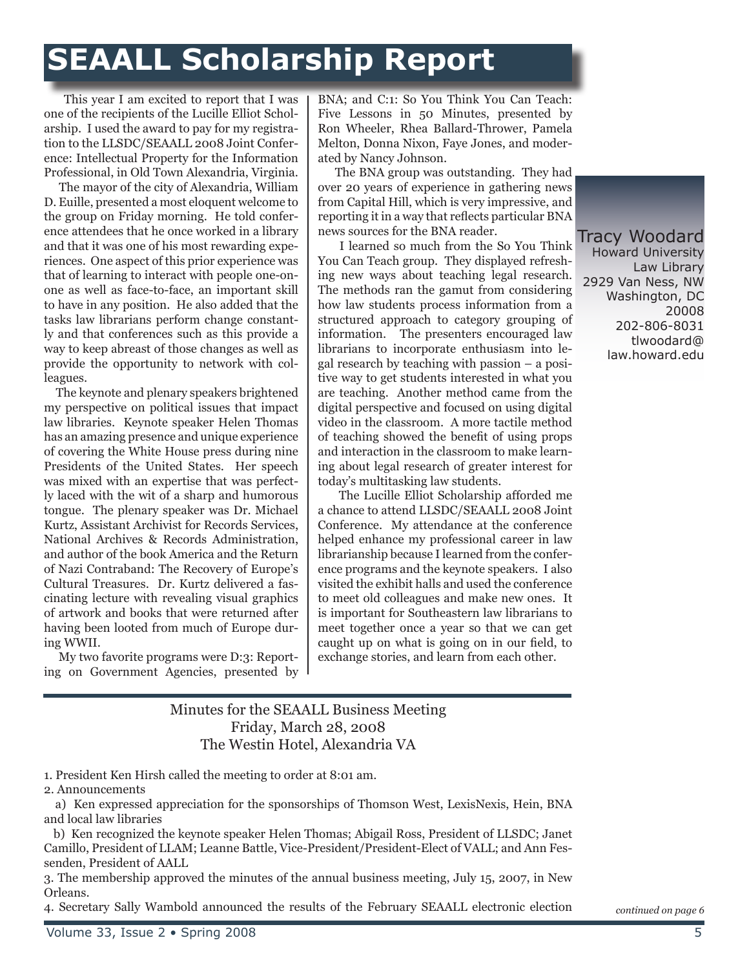# **SEAALL Scholarship Report**

 This year I am excited to report that I was one of the recipients of the Lucille Elliot Scholarship. I used the award to pay for my registration to the LLSDC/SEAALL 2008 Joint Conference: Intellectual Property for the Information Professional, in Old Town Alexandria, Virginia.

 The mayor of the city of Alexandria, William D. Euille, presented a most eloquent welcome to the group on Friday morning. He told conference attendees that he once worked in a library and that it was one of his most rewarding experiences. One aspect of this prior experience was that of learning to interact with people one-onone as well as face-to-face, an important skill to have in any position. He also added that the tasks law librarians perform change constantly and that conferences such as this provide a way to keep abreast of those changes as well as provide the opportunity to network with colleagues.

 The keynote and plenary speakers brightened my perspective on political issues that impact law libraries. Keynote speaker Helen Thomas has an amazing presence and unique experience of covering the White House press during nine Presidents of the United States. Her speech was mixed with an expertise that was perfectly laced with the wit of a sharp and humorous tongue. The plenary speaker was Dr. Michael Kurtz, Assistant Archivist for Records Services, National Archives & Records Administration, and author of the book America and the Return of Nazi Contraband: The Recovery of Europe's Cultural Treasures. Dr. Kurtz delivered a fascinating lecture with revealing visual graphics of artwork and books that were returned after having been looted from much of Europe during WWII.

 My two favorite programs were D:3: Reporting on Government Agencies, presented by

BNA; and C:1: So You Think You Can Teach: Five Lessons in 50 Minutes, presented by Ron Wheeler, Rhea Ballard-Thrower, Pamela Melton, Donna Nixon, Faye Jones, and moderated by Nancy Johnson.

 The BNA group was outstanding. They had over 20 years of experience in gathering news from Capital Hill, which is very impressive, and reporting it in a way that reflects particular BNA news sources for the BNA reader.

 I learned so much from the So You Think You Can Teach group. They displayed refreshing new ways about teaching legal research. The methods ran the gamut from considering how law students process information from a structured approach to category grouping of information. The presenters encouraged law librarians to incorporate enthusiasm into legal research by teaching with passion – a positive way to get students interested in what you are teaching. Another method came from the digital perspective and focused on using digital video in the classroom. A more tactile method of teaching showed the benefit of using props and interaction in the classroom to make learning about legal research of greater interest for today's multitasking law students.

 The Lucille Elliot Scholarship afforded me a chance to attend LLSDC/SEAALL 2008 Joint Conference. My attendance at the conference helped enhance my professional career in law librarianship because I learned from the conference programs and the keynote speakers. I also visited the exhibit halls and used the conference to meet old colleagues and make new ones. It is important for Southeastern law librarians to meet together once a year so that we can get caught up on what is going on in our field, to exchange stories, and learn from each other.

Tracy Woodard Howard University Law Library 2929 Van Ness, NW Washington, DC 20008 202-806-8031 tlwoodard@ law.howard.edu

#### Minutes for the SEAALL Business Meeting Friday, March 28, 2008 The Westin Hotel, Alexandria VA

1. President Ken Hirsh called the meeting to order at 8:01 am.

2. Announcements

3. The membership approved the minutes of the annual business meeting, July 15, 2007, in New Orleans.

4. Secretary Sally Wambold announced the results of the February SEAALL electronic election *continued on page 6*

a) Ken expressed appreciation for the sponsorships of Thomson West, LexisNexis, Hein, BNA and local law libraries

b) Ken recognized the keynote speaker Helen Thomas; Abigail Ross, President of LLSDC; Janet Camillo, President of LLAM; Leanne Battle, Vice-President/President-Elect of VALL; and Ann Fessenden, President of AALL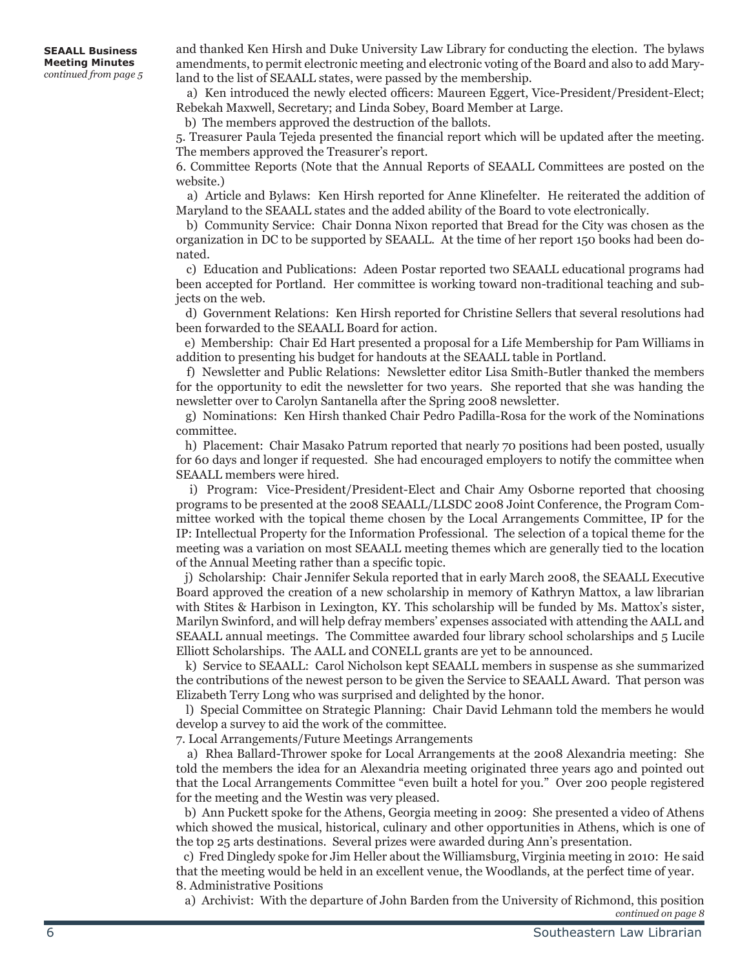and thanked Ken Hirsh and Duke University Law Library for conducting the election. The bylaws amendments, to permit electronic meeting and electronic voting of the Board and also to add Maryland to the list of SEAALL states, were passed by the membership.

 a) Ken introduced the newly elected officers: Maureen Eggert, Vice-President/President-Elect; Rebekah Maxwell, Secretary; and Linda Sobey, Board Member at Large.

b) The members approved the destruction of the ballots.

5. Treasurer Paula Tejeda presented the financial report which will be updated after the meeting. The members approved the Treasurer's report.

6. Committee Reports (Note that the Annual Reports of SEAALL Committees are posted on the website.)

 a) Article and Bylaws: Ken Hirsh reported for Anne Klinefelter. He reiterated the addition of Maryland to the SEAALL states and the added ability of the Board to vote electronically.

 b) Community Service: Chair Donna Nixon reported that Bread for the City was chosen as the organization in DC to be supported by SEAALL. At the time of her report 150 books had been donated.

 c) Education and Publications: Adeen Postar reported two SEAALL educational programs had been accepted for Portland. Her committee is working toward non-traditional teaching and subjects on the web.

 d) Government Relations: Ken Hirsh reported for Christine Sellers that several resolutions had been forwarded to the SEAALL Board for action.

 e) Membership: Chair Ed Hart presented a proposal for a Life Membership for Pam Williams in addition to presenting his budget for handouts at the SEAALL table in Portland.

 f) Newsletter and Public Relations: Newsletter editor Lisa Smith-Butler thanked the members for the opportunity to edit the newsletter for two years. She reported that she was handing the newsletter over to Carolyn Santanella after the Spring 2008 newsletter.

 g) Nominations: Ken Hirsh thanked Chair Pedro Padilla-Rosa for the work of the Nominations committee.

 h) Placement: Chair Masako Patrum reported that nearly 70 positions had been posted, usually for 60 days and longer if requested. She had encouraged employers to notify the committee when SEAALL members were hired.

 i) Program: Vice-President/President-Elect and Chair Amy Osborne reported that choosing programs to be presented at the 2008 SEAALL/LLSDC 2008 Joint Conference, the Program Committee worked with the topical theme chosen by the Local Arrangements Committee, IP for the IP: Intellectual Property for the Information Professional. The selection of a topical theme for the meeting was a variation on most SEAALL meeting themes which are generally tied to the location of the Annual Meeting rather than a specific topic.

 j) Scholarship: Chair Jennifer Sekula reported that in early March 2008, the SEAALL Executive Board approved the creation of a new scholarship in memory of Kathryn Mattox, a law librarian with Stites & Harbison in Lexington, KY. This scholarship will be funded by Ms. Mattox's sister, Marilyn Swinford, and will help defray members' expenses associated with attending the AALL and SEAALL annual meetings. The Committee awarded four library school scholarships and 5 Lucile Elliott Scholarships. The AALL and CONELL grants are yet to be announced.

 k) Service to SEAALL: Carol Nicholson kept SEAALL members in suspense as she summarized the contributions of the newest person to be given the Service to SEAALL Award. That person was Elizabeth Terry Long who was surprised and delighted by the honor.

 l) Special Committee on Strategic Planning: Chair David Lehmann told the members he would develop a survey to aid the work of the committee.

7. Local Arrangements/Future Meetings Arrangements

 a) Rhea Ballard-Thrower spoke for Local Arrangements at the 2008 Alexandria meeting: She told the members the idea for an Alexandria meeting originated three years ago and pointed out that the Local Arrangements Committee "even built a hotel for you." Over 200 people registered for the meeting and the Westin was very pleased.

 b) Ann Puckett spoke for the Athens, Georgia meeting in 2009: She presented a video of Athens which showed the musical, historical, culinary and other opportunities in Athens, which is one of the top 25 arts destinations. Several prizes were awarded during Ann's presentation.

 c) Fred Dingledy spoke for Jim Heller about the Williamsburg, Virginia meeting in 2010: He said that the meeting would be held in an excellent venue, the Woodlands, at the perfect time of year. 8. Administrative Positions

a) Archivist: With the departure of John Barden from the University of Richmond, this position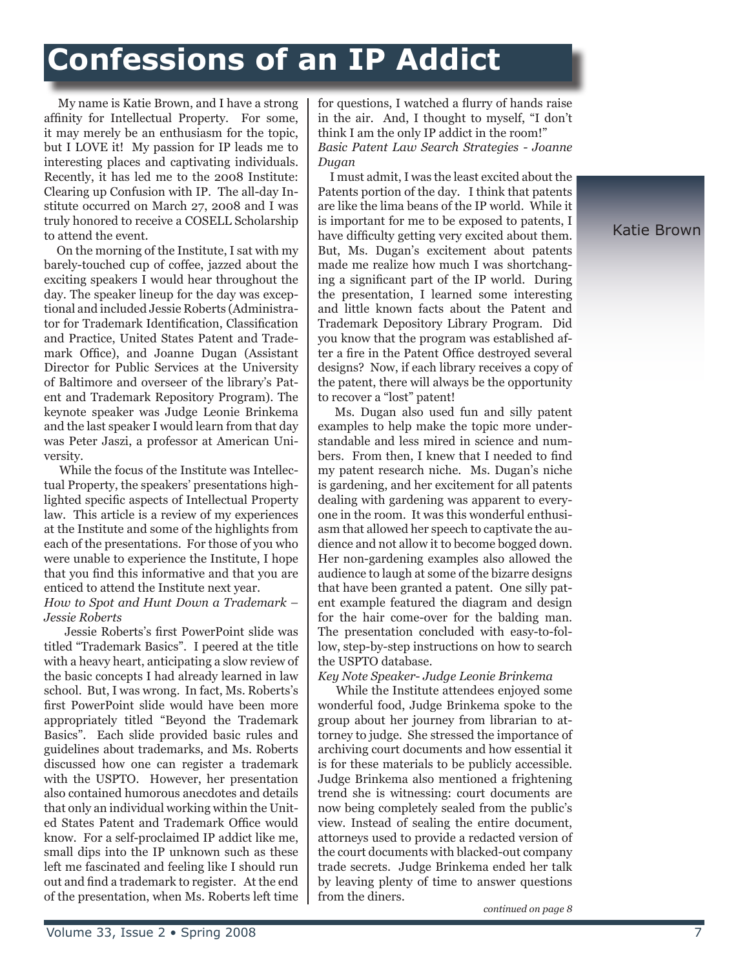# **Confessions of an IP Addict**

 My name is Katie Brown, and I have a strong affinity for Intellectual Property. For some, it may merely be an enthusiasm for the topic, but I LOVE it! My passion for IP leads me to interesting places and captivating individuals. Recently, it has led me to the 2008 Institute: Clearing up Confusion with IP. The all-day Institute occurred on March 27, 2008 and I was truly honored to receive a COSELL Scholarship to attend the event.

 On the morning of the Institute, I sat with my barely-touched cup of coffee, jazzed about the exciting speakers I would hear throughout the day. The speaker lineup for the day was exceptional and included Jessie Roberts (Administrator for Trademark Identification, Classification and Practice, United States Patent and Trademark Office), and Joanne Dugan (Assistant Director for Public Services at the University of Baltimore and overseer of the library's Patent and Trademark Repository Program). The keynote speaker was Judge Leonie Brinkema and the last speaker I would learn from that day was Peter Jaszi, a professor at American University.

 While the focus of the Institute was Intellectual Property, the speakers' presentations highlighted specific aspects of Intellectual Property law. This article is a review of my experiences at the Institute and some of the highlights from each of the presentations. For those of you who were unable to experience the Institute, I hope that you find this informative and that you are enticed to attend the Institute next year.

#### *How to Spot and Hunt Down a Trademark – Jessie Roberts*

 Jessie Roberts's first PowerPoint slide was titled "Trademark Basics". I peered at the title with a heavy heart, anticipating a slow review of the basic concepts I had already learned in law school. But, I was wrong. In fact, Ms. Roberts's first PowerPoint slide would have been more appropriately titled "Beyond the Trademark Basics". Each slide provided basic rules and guidelines about trademarks, and Ms. Roberts discussed how one can register a trademark with the USPTO. However, her presentation also contained humorous anecdotes and details that only an individual working within the United States Patent and Trademark Office would know. For a self-proclaimed IP addict like me, small dips into the IP unknown such as these left me fascinated and feeling like I should run out and find a trademark to register. At the end of the presentation, when Ms. Roberts left time

for questions, I watched a flurry of hands raise in the air. And, I thought to myself, "I don't think I am the only IP addict in the room!" *Basic Patent Law Search Strategies - Joanne Dugan*

 I must admit, I was the least excited about the Patents portion of the day. I think that patents are like the lima beans of the IP world. While it is important for me to be exposed to patents, I have difficulty getting very excited about them. But, Ms. Dugan's excitement about patents made me realize how much I was shortchanging a significant part of the IP world. During the presentation, I learned some interesting and little known facts about the Patent and Trademark Depository Library Program. Did you know that the program was established after a fire in the Patent Office destroyed several designs? Now, if each library receives a copy of the patent, there will always be the opportunity to recover a "lost" patent!

 Ms. Dugan also used fun and silly patent examples to help make the topic more understandable and less mired in science and numbers. From then, I knew that I needed to find my patent research niche. Ms. Dugan's niche is gardening, and her excitement for all patents dealing with gardening was apparent to everyone in the room. It was this wonderful enthusiasm that allowed her speech to captivate the audience and not allow it to become bogged down. Her non-gardening examples also allowed the audience to laugh at some of the bizarre designs that have been granted a patent. One silly patent example featured the diagram and design for the hair come-over for the balding man. The presentation concluded with easy-to-follow, step-by-step instructions on how to search the USPTO database.

*Key Note Speaker- Judge Leonie Brinkema*

 While the Institute attendees enjoyed some wonderful food, Judge Brinkema spoke to the group about her journey from librarian to attorney to judge. She stressed the importance of archiving court documents and how essential it is for these materials to be publicly accessible. Judge Brinkema also mentioned a frightening trend she is witnessing: court documents are now being completely sealed from the public's view. Instead of sealing the entire document, attorneys used to provide a redacted version of the court documents with blacked-out company trade secrets. Judge Brinkema ended her talk by leaving plenty of time to answer questions from the diners.

*continued on page 8*

Katie Brown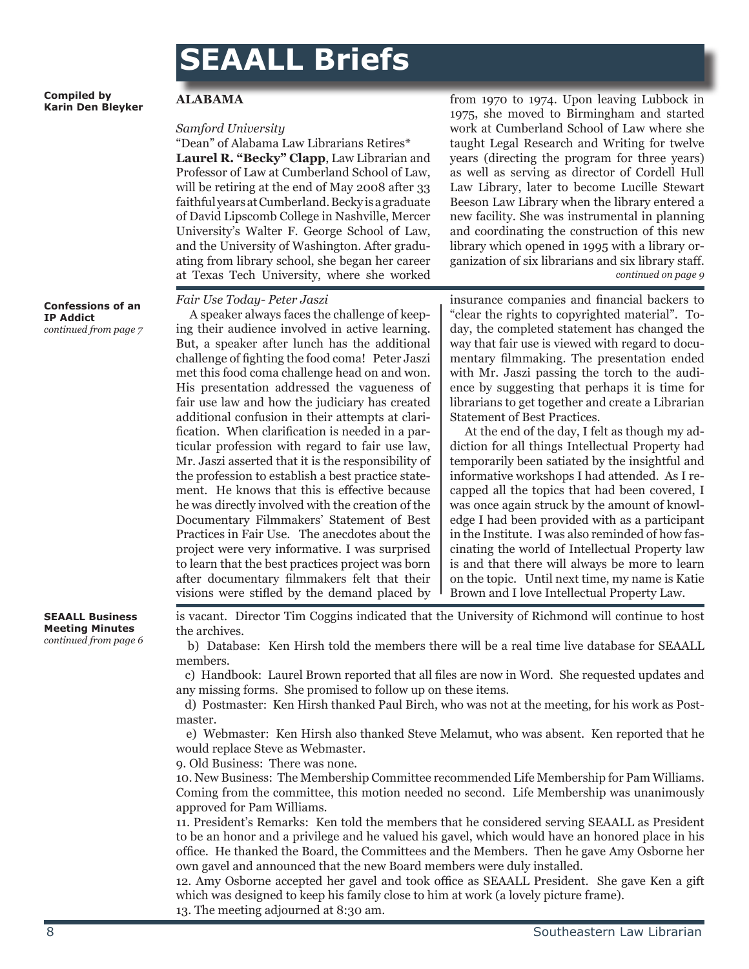## **SEAALL Briefs**

**Compiled by Karin Den Bleyker**

#### **Confessions of an IP Addict** *continued from page 7*

**ALABAMA**

#### *Samford University*

"Dean" of Alabama Law Librarians Retires\* **Laurel R. "Becky" Clapp**, Law Librarian and Professor of Law at Cumberland School of Law, will be retiring at the end of May 2008 after 33 faithful years at Cumberland. Becky is a graduate of David Lipscomb College in Nashville, Mercer University's Walter F. George School of Law, and the University of Washington. After graduating from library school, she began her career at Texas Tech University, where she worked

#### *Fair Use Today- Peter Jaszi*

 A speaker always faces the challenge of keeping their audience involved in active learning. But, a speaker after lunch has the additional challenge of fighting the food coma! Peter Jaszi met this food coma challenge head on and won. His presentation addressed the vagueness of fair use law and how the judiciary has created additional confusion in their attempts at clarification. When clarification is needed in a particular profession with regard to fair use law, Mr. Jaszi asserted that it is the responsibility of the profession to establish a best practice statement. He knows that this is effective because he was directly involved with the creation of the Documentary Filmmakers' Statement of Best Practices in Fair Use. The anecdotes about the project were very informative. I was surprised to learn that the best practices project was born after documentary filmmakers felt that their visions were stifled by the demand placed by

from 1970 to 1974. Upon leaving Lubbock in 1975, she moved to Birmingham and started work at Cumberland School of Law where she taught Legal Research and Writing for twelve years (directing the program for three years) as well as serving as director of Cordell Hull Law Library, later to become Lucille Stewart Beeson Law Library when the library entered a new facility. She was instrumental in planning and coordinating the construction of this new library which opened in 1995 with a library organization of six librarians and six library staff. *continued on page 9*

insurance companies and financial backers to "clear the rights to copyrighted material". Today, the completed statement has changed the way that fair use is viewed with regard to documentary filmmaking. The presentation ended with Mr. Jaszi passing the torch to the audience by suggesting that perhaps it is time for librarians to get together and create a Librarian Statement of Best Practices.

 At the end of the day, I felt as though my addiction for all things Intellectual Property had temporarily been satiated by the insightful and informative workshops I had attended. As I recapped all the topics that had been covered, I was once again struck by the amount of knowledge I had been provided with as a participant in the Institute. I was also reminded of how fascinating the world of Intellectual Property law is and that there will always be more to learn on the topic. Until next time, my name is Katie Brown and I love Intellectual Property Law.

**SEAALL Business Meeting Minutes** *continued from page 6* is vacant. Director Tim Coggins indicated that the University of Richmond will continue to host the archives.

 b) Database: Ken Hirsh told the members there will be a real time live database for SEAALL members.

 c) Handbook: Laurel Brown reported that all files are now in Word. She requested updates and any missing forms. She promised to follow up on these items.

 d) Postmaster: Ken Hirsh thanked Paul Birch, who was not at the meeting, for his work as Postmaster.

 e) Webmaster: Ken Hirsh also thanked Steve Melamut, who was absent. Ken reported that he would replace Steve as Webmaster.

9. Old Business: There was none.

10. New Business: The Membership Committee recommended Life Membership for Pam Williams. Coming from the committee, this motion needed no second. Life Membership was unanimously approved for Pam Williams.

11. President's Remarks: Ken told the members that he considered serving SEAALL as President to be an honor and a privilege and he valued his gavel, which would have an honored place in his office. He thanked the Board, the Committees and the Members. Then he gave Amy Osborne her own gavel and announced that the new Board members were duly installed.

12. Amy Osborne accepted her gavel and took office as SEAALL President. She gave Ken a gift which was designed to keep his family close to him at work (a lovely picture frame). 13. The meeting adjourned at 8:30 am.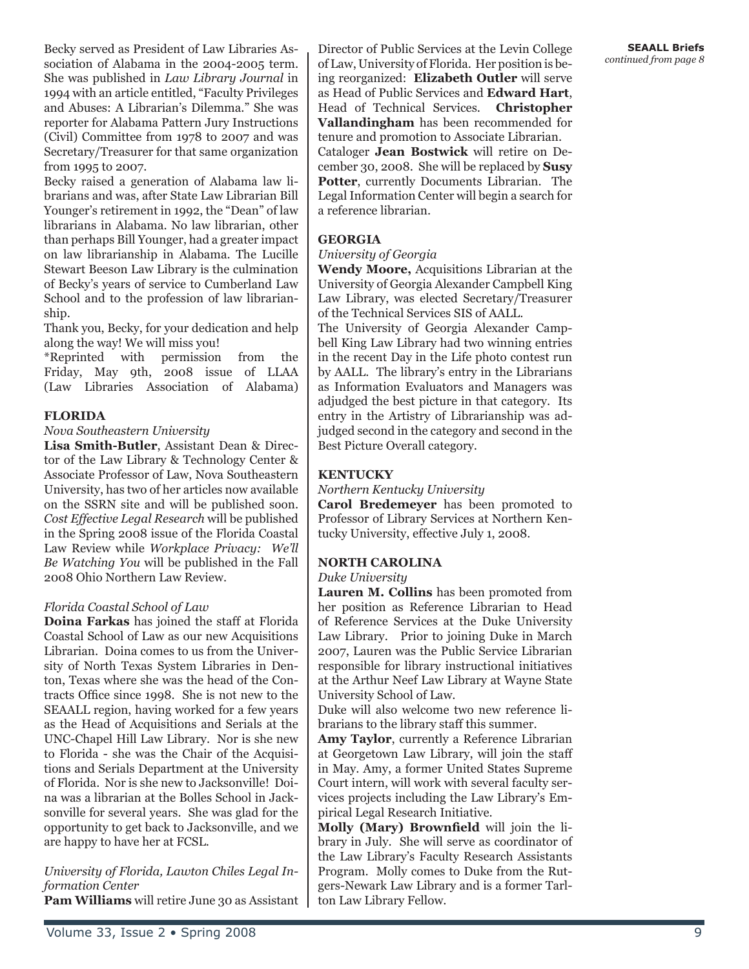Becky served as President of Law Libraries Association of Alabama in the 2004-2005 term. She was published in *Law Library Journal* in 1994 with an article entitled, "Faculty Privileges and Abuses: A Librarian's Dilemma." She was reporter for Alabama Pattern Jury Instructions (Civil) Committee from 1978 to 2007 and was Secretary/Treasurer for that same organization from 1995 to 2007.

Becky raised a generation of Alabama law librarians and was, after State Law Librarian Bill Younger's retirement in 1992, the "Dean" of law librarians in Alabama. No law librarian, other than perhaps Bill Younger, had a greater impact on law librarianship in Alabama. The Lucille Stewart Beeson Law Library is the culmination of Becky's years of service to Cumberland Law School and to the profession of law librarianship.

Thank you, Becky, for your dedication and help along the way! We will miss you!

\*Reprinted with permission from the Friday, May 9th, 2008 issue of LLAA (Law Libraries Association of Alabama)

#### **FLORIDA**

#### *Nova Southeastern University*

**Lisa Smith-Butler**, Assistant Dean & Director of the Law Library & Technology Center & Associate Professor of Law, Nova Southeastern University, has two of her articles now available on the SSRN site and will be published soon. *Cost Effective Legal Research* will be published in the Spring 2008 issue of the Florida Coastal Law Review while *Workplace Privacy: We'll Be Watching You* will be published in the Fall 2008 Ohio Northern Law Review.

#### *Florida Coastal School of Law*

**Doina Farkas** has joined the staff at Florida Coastal School of Law as our new Acquisitions Librarian. Doina comes to us from the University of North Texas System Libraries in Denton, Texas where she was the head of the Contracts Office since 1998. She is not new to the SEAALL region, having worked for a few years as the Head of Acquisitions and Serials at the UNC-Chapel Hill Law Library. Nor is she new to Florida - she was the Chair of the Acquisitions and Serials Department at the University of Florida. Nor is she new to Jacksonville! Doina was a librarian at the Bolles School in Jacksonville for several years. She was glad for the opportunity to get back to Jacksonville, and we are happy to have her at FCSL.

*University of Florida, Lawton Chiles Legal Information Center*

**Pam Williams** will retire June 30 as Assistant

Director of Public Services at the Levin College of Law, University of Florida. Her position is being reorganized: **Elizabeth Outler** will serve as Head of Public Services and **Edward Hart**, Head of Technical Services. **Christopher Vallandingham** has been recommended for tenure and promotion to Associate Librarian. Cataloger **Jean Bostwick** will retire on December 30, 2008. She will be replaced by **Susy Potter**, currently Documents Librarian. The Legal Information Center will begin a search for a reference librarian.

#### **GEORGIA**

#### *University of Georgia*

**Wendy Moore,** Acquisitions Librarian at the University of Georgia Alexander Campbell King Law Library, was elected Secretary/Treasurer of the Technical Services SIS of AALL.

The University of Georgia Alexander Campbell King Law Library had two winning entries in the recent Day in the Life photo contest run by AALL. The library's entry in the Librarians as Information Evaluators and Managers was adjudged the best picture in that category. Its entry in the Artistry of Librarianship was adjudged second in the category and second in the Best Picture Overall category.

#### **KENTUCKY**

#### *Northern Kentucky University*

**Carol Bredemeyer** has been promoted to Professor of Library Services at Northern Kentucky University, effective July 1, 2008.

#### **NORTH CAROLINA**

#### *Duke University*

**Lauren M. Collins** has been promoted from her position as Reference Librarian to Head of Reference Services at the Duke University Law Library. Prior to joining Duke in March 2007, Lauren was the Public Service Librarian responsible for library instructional initiatives at the Arthur Neef Law Library at Wayne State University School of Law.

Duke will also welcome two new reference librarians to the library staff this summer.

**Amy Taylor**, currently a Reference Librarian at Georgetown Law Library, will join the staff in May. Amy, a former United States Supreme Court intern, will work with several faculty services projects including the Law Library's Empirical Legal Research Initiative.

**Molly (Mary) Brownfield** will join the library in July. She will serve as coordinator of the Law Library's Faculty Research Assistants Program. Molly comes to Duke from the Rutgers-Newark Law Library and is a former Tarlton Law Library Fellow.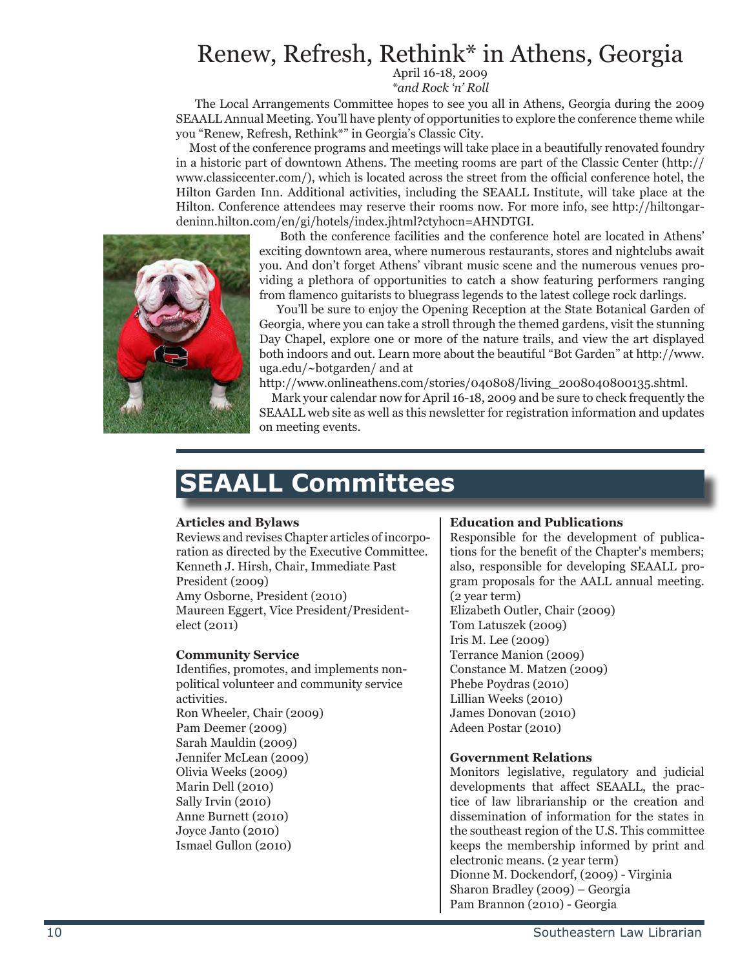### Renew, Refresh, Rethink\* in Athens, Georgia

April 16-18, 2009 *\*and Rock 'n' Roll* 

 The Local Arrangements Committee hopes to see you all in Athens, Georgia during the 2009 SEAALL Annual Meeting. You'll have plenty of opportunities to explore the conference theme while you "Renew, Refresh, Rethink\*" in Georgia's Classic City.

 Most of the conference programs and meetings will take place in a beautifully renovated foundry in a historic part of downtown Athens. The meeting rooms are part of the Classic Center (http:// www.classiccenter.com/), which is located across the street from the official conference hotel, the Hilton Garden Inn. Additional activities, including the SEAALL Institute, will take place at the Hilton. Conference attendees may reserve their rooms now. For more info, see http://hiltongardeninn.hilton.com/en/gi/hotels/index.jhtml?ctyhocn=AHNDTGI.



 Both the conference facilities and the conference hotel are located in Athens' exciting downtown area, where numerous restaurants, stores and nightclubs await you. And don't forget Athens' vibrant music scene and the numerous venues providing a plethora of opportunities to catch a show featuring performers ranging from flamenco guitarists to bluegrass legends to the latest college rock darlings.

 You'll be sure to enjoy the Opening Reception at the State Botanical Garden of Georgia, where you can take a stroll through the themed gardens, visit the stunning Day Chapel, explore one or more of the nature trails, and view the art displayed both indoors and out. Learn more about the beautiful "Bot Garden" at http://www. uga.edu/~botgarden/ and at

http://www.onlineathens.com/stories/040808/living\_2008040800135.shtml.

 Mark your calendar now for April 16-18, 2009 and be sure to check frequently the SEAALL web site as well as this newsletter for registration information and updates on meeting events.

### **SEAALL Committees**

#### **Articles and Bylaws**

Reviews and revises Chapter articles of incorporation as directed by the Executive Committee. Kenneth J. Hirsh, Chair, Immediate Past President (2009) Amy Osborne, President (2010) Maureen Eggert, Vice President/Presidentelect (2011)

#### **Community Service**

Identifies, promotes, and implements nonpolitical volunteer and community service activities.

Ron Wheeler, Chair (2009) Pam Deemer (2009) Sarah Mauldin (2009) Jennifer McLean (2009) Olivia Weeks (2009) Marin Dell (2010) Sally Irvin (2010) Anne Burnett (2010) Joyce Janto (2010) Ismael Gullon (2010)

#### **Education and Publications**

Responsible for the development of publications for the benefit of the Chapter's members; also, responsible for developing SEAALL program proposals for the AALL annual meeting. (2 year term) Elizabeth Outler, Chair (2009) Tom Latuszek (2009) Iris M. Lee (2009) Terrance Manion (2009) Constance M. Matzen (2009) Phebe Poydras (2010) Lillian Weeks (2010) James Donovan (2010) Adeen Postar (2010)

#### **Government Relations**

Monitors legislative, regulatory and judicial developments that affect SEAALL, the practice of law librarianship or the creation and dissemination of information for the states in the southeast region of the U.S. This committee keeps the membership informed by print and electronic means. (2 year term) Dionne M. Dockendorf, (2009) - Virginia Sharon Bradley (2009) – Georgia Pam Brannon (2010) - Georgia